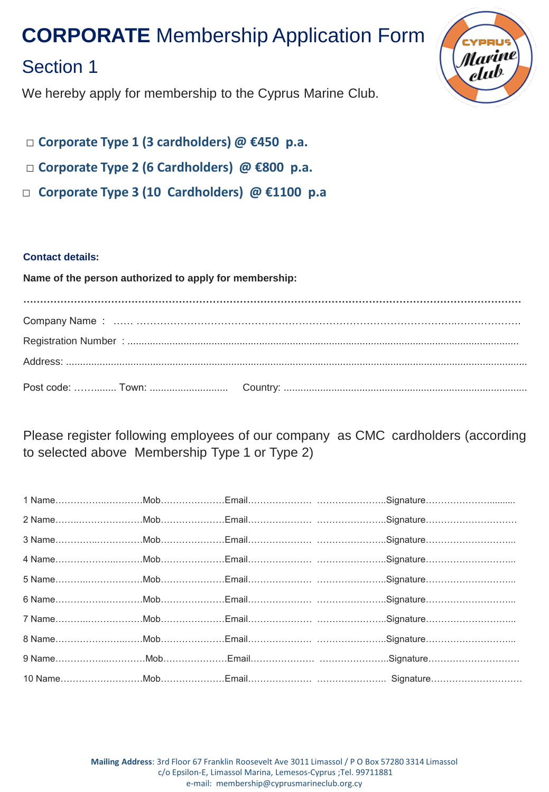# **CORPORATE** Membership Application Form

### Section 1

We hereby apply for membership to the Cyprus Marine Club.

- □ **Corporate Type 1 (3 cardholders) @ €450 p.a.**
- □ **Corporate Type 2 (6 Cardholders) @ €800 p.a.**
- □ **Corporate Type 3 (10 Cardholders) @ €1100 p.a**

#### **Contact details:**

**Name of the person authorized to apply for membership: …………………………………………………………………………………………………………………………………** Company Name : …… …………………………………………………………………………………..………………. Registration Number : ............................................................................................................................................ Address: ..................................................................................................................................................................... Post code: ……........ Town: ............................ Country: .......................................................................................

Please register following employees of our company as CMC cardholders (according to selected above Membership Type 1 or Type 2)

**Mailing Address**: 3rd Floor 67 Franklin Roosevelt Ave 3011 Limassol / P O Box 57280 3314 Limassol c/o Epsilon-E, Limassol Marina, Lemesos-Cyprus ;Tel. 99711881 e-mail: membership@cyprusmarineclub.org.cy